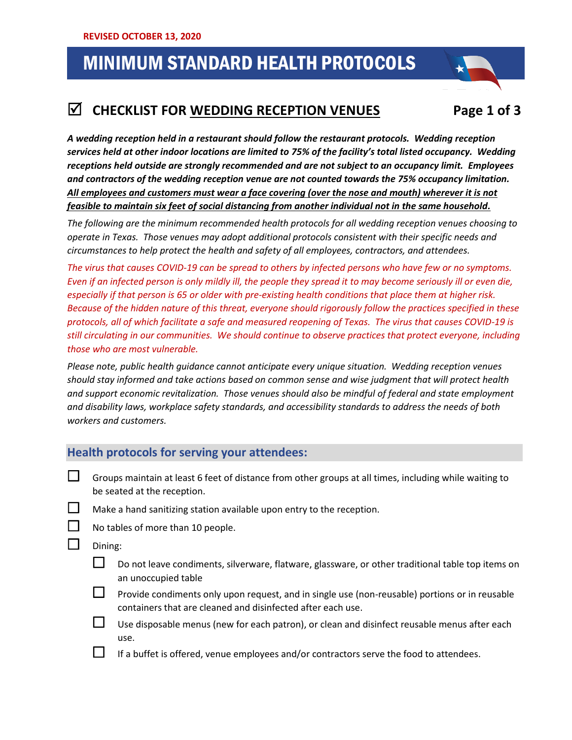# MINIMUM STANDARD HEALTH PROTOCOLS

## 1. **CHECKLIST FOR WEDDING RECEPTION VENUES Page 1 of 3**

*A wedding reception held in a restaurant should follow the restaurant protocols. Wedding reception services held at other indoor locations are limited to 75% of the facility's total listed occupancy. Wedding receptions held outside are strongly recommended and are not subject to an occupancy limit. Employees and contractors of the wedding reception venue are not counted towards the 75% occupancy limitation. All employees and customers must wear a face covering (over the nose and mouth) wherever it is not feasible to maintain six feet of social distancing from another individual not in the same household.*

*The following are the minimum recommended health protocols for all wedding reception venues choosing to operate in Texas. Those venues may adopt additional protocols consistent with their specific needs and circumstances to help protect the health and safety of all employees, contractors, and attendees.*

*The virus that causes COVID-19 can be spread to others by infected persons who have few or no symptoms. Even if an infected person is only mildly ill, the people they spread it to may become seriously ill or even die, especially if that person is 65 or older with pre-existing health conditions that place them at higher risk. Because of the hidden nature of this threat, everyone should rigorously follow the practices specified in these protocols, all of which facilitate a safe and measured reopening of Texas. The virus that causes COVID-19 is still circulating in our communities. We should continue to observe practices that protect everyone, including those who are most vulnerable.*

*Please note, public health guidance cannot anticipate every unique situation. Wedding reception venues should stay informed and take actions based on common sense and wise judgment that will protect health and support economic revitalization. Those venues should also be mindful of federal and state employment and disability laws, workplace safety standards, and accessibility standards to address the needs of both workers and customers.*

### **Health protocols for serving your attendees:**

- $\Box$  Groups maintain at least 6 feet of distance from other groups at all times, including while waiting to be seated at the reception.
- $\Box$  Make a hand sanitizing station available upon entry to the reception.
	- No tables of more than 10 people.
- $\Box$  Dining:
	- $\Box$  Do not leave condiments, silverware, flatware, glassware, or other traditional table top items on an unoccupied table
	- $\Box$  Provide condiments only upon request, and in single use (non-reusable) portions or in reusable containers that are cleaned and disinfected after each use.
	- Use disposable menus (new for each patron), or clean and disinfect reusable menus after each use.
		- If a buffet is offered, venue employees and/or contractors serve the food to attendees.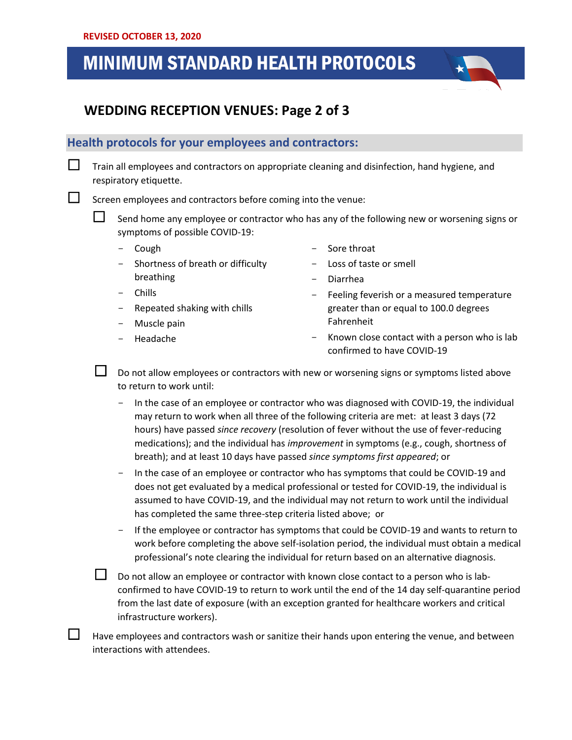## MINIMUM STANDARD HEALTH PROTOCOLS

### .<br>. **. .**. .  **WEDDING RECEPTION VENUES: Page 2 of 3**

#### **Health protocols for your employees and contractors:**

 $\Box$  Train all employees and contractors on appropriate cleaning and disinfection, hand hygiene, and respiratory etiquette.

 $\Box$  Screen employees and contractors before coming into the venue:

 Send home any employee or contractor who has any of the following new or worsening signs or symptoms of possible COVID-19:

- Cough
- Shortness of breath or difficulty breathing
- Sore throat
- Loss of taste or smell
- Diarrhea

- **Chills**
- Repeated shaking with chills
- Muscle pain
- Headache

Fahrenheit Known close contact with a person who is lab

- Feeling feverish or a measured temperature greater than or equal to 100.0 degrees

- confirmed to have COVID-19 Do not allow employees or contractors with new or worsening signs or symptoms listed above to return to work until:
- In the case of an employee or contractor who was diagnosed with COVID-19, the individual may return to work when all three of the following criteria are met: at least 3 days (72 hours) have passed *since recovery* (resolution of fever without the use of fever-reducing medications); and the individual has *improvement* in symptoms (e.g., cough, shortness of breath); and at least 10 days have passed *since symptoms first appeared*; or
- In the case of an employee or contractor who has symptoms that could be COVID-19 and does not get evaluated by a medical professional or tested for COVID-19, the individual is assumed to have COVID-19, and the individual may not return to work until the individual has completed the same three-step criteria listed above; or
- If the employee or contractor has symptoms that could be COVID-19 and wants to return to work before completing the above self-isolation period, the individual must obtain a medical professional's note clearing the individual for return based on an alternative diagnosis.

 $\Box$  Do not allow an employee or contractor with known close contact to a person who is labconfirmed to have COVID-19 to return to work until the end of the 14 day self-quarantine period from the last date of exposure (with an exception granted for healthcare workers and critical infrastructure workers).

 Have employees and contractors wash or sanitize their hands upon entering the venue, and between interactions with attendees.